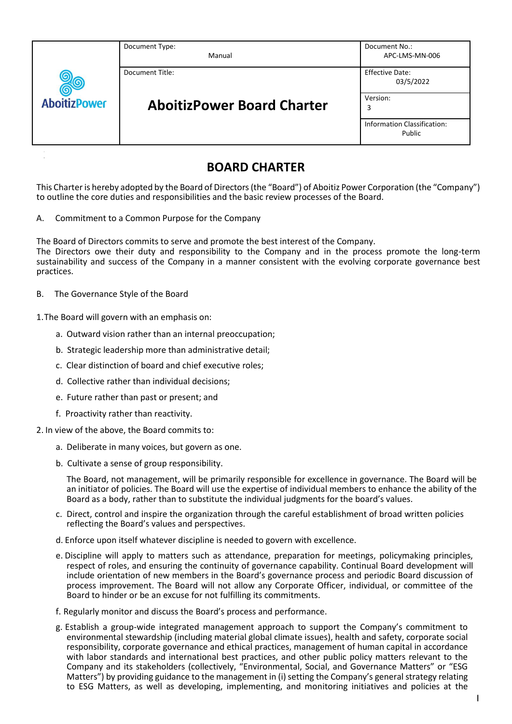| <b>AboitizPower</b> | Document Type:<br>Manual                             | Document No.:<br>APC-LMS-MN-006              |
|---------------------|------------------------------------------------------|----------------------------------------------|
|                     | Document Title:<br><b>AboitizPower Board Charter</b> | <b>Effective Date:</b><br>03/5/2022          |
|                     |                                                      | Version:<br>3                                |
|                     |                                                      | <b>Information Classification:</b><br>Public |

# **BOARD CHARTER**

This Charter is hereby adopted by the Board of Directors (the "Board") of Aboitiz Power Corporation (the "Company") to outline the core duties and responsibilities and the basic review processes of the Board.

A. Commitment to a Common Purpose for the Company

The Board of Directors commits to serve and promote the best interest of the Company.

The Directors owe their duty and responsibility to the Company and in the process promote the long-term sustainability and success of the Company in a manner consistent with the evolving corporate governance best practices.

B. The Governance Style of the Board

1.The Board will govern with an emphasis on:

- a. Outward vision rather than an internal preoccupation;
- b. Strategic leadership more than administrative detail;
- c. Clear distinction of board and chief executive roles;
- d. Collective rather than individual decisions;
- e. Future rather than past or present; and
- f. Proactivity rather than reactivity.
- 2. In view of the above, the Board commits to:
	- a. Deliberate in many voices, but govern as one.
	- b. Cultivate a sense of group responsibility.

The Board, not management, will be primarily responsible for excellence in governance. The Board will be an initiator of policies. The Board will use the expertise of individual members to enhance the ability of the Board as a body, rather than to substitute the individual judgments for the board's values.

- c. Direct, control and inspire the organization through the careful establishment of broad written policies reflecting the Board's values and perspectives.
- d. Enforce upon itself whatever discipline is needed to govern with excellence.
- e. Discipline will apply to matters such as attendance, preparation for meetings, policymaking principles, respect of roles, and ensuring the continuity of governance capability. Continual Board development will include orientation of new members in the Board's governance process and periodic Board discussion of process improvement. The Board will not allow any Corporate Officer, individual, or committee of the Board to hinder or be an excuse for not fulfilling its commitments.
- f. Regularly monitor and discuss the Board's process and performance.
- g. Establish a group-wide integrated management approach to support the Company's commitment to environmental stewardship (including material global climate issues), health and safety, corporate social responsibility, corporate governance and ethical practices, management of human capital in accordance with labor standards and international best practices, and other public policy matters relevant to the Company and its stakeholders (collectively, "Environmental, Social, and Governance Matters" or "ESG Matters") by providing guidance to the management in (i) setting the Company's general strategy relating to ESG Matters, as well as developing, implementing, and monitoring initiatives and policies at the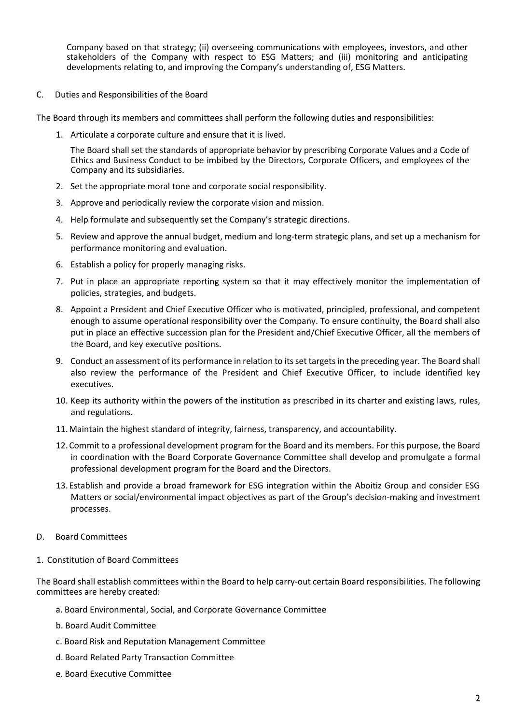Company based on that strategy; (ii) overseeing communications with employees, investors, and other stakeholders of the Company with respect to ESG Matters; and (iii) monitoring and anticipating developments relating to, and improving the Company's understanding of, ESG Matters.

C. Duties and Responsibilities of the Board

The Board through its members and committees shall perform the following duties and responsibilities:

1. Articulate a corporate culture and ensure that it is lived.

The Board shall set the standards of appropriate behavior by prescribing Corporate Values and a Code of Ethics and Business Conduct to be imbibed by the Directors, Corporate Officers, and employees of the Company and its subsidiaries.

- 2. Set the appropriate moral tone and corporate social responsibility.
- 3. Approve and periodically review the corporate vision and mission.
- 4. Help formulate and subsequently set the Company's strategic directions.
- 5. Review and approve the annual budget, medium and long-term strategic plans, and set up a mechanism for performance monitoring and evaluation.
- 6. Establish a policy for properly managing risks.
- 7. Put in place an appropriate reporting system so that it may effectively monitor the implementation of policies, strategies, and budgets.
- 8. Appoint a President and Chief Executive Officer who is motivated, principled, professional, and competent enough to assume operational responsibility over the Company. To ensure continuity, the Board shall also put in place an effective succession plan for the President and/Chief Executive Officer, all the members of the Board, and key executive positions.
- 9. Conduct an assessment of its performance in relation to its set targets in the preceding year. The Board shall also review the performance of the President and Chief Executive Officer, to include identified key executives.
- 10. Keep its authority within the powers of the institution as prescribed in its charter and existing laws, rules, and regulations.
- 11.Maintain the highest standard of integrity, fairness, transparency, and accountability.
- 12.Commit to a professional development program for the Board and its members. For this purpose, the Board in coordination with the Board Corporate Governance Committee shall develop and promulgate a formal professional development program for the Board and the Directors.
- 13.Establish and provide a broad framework for ESG integration within the Aboitiz Group and consider ESG Matters or social/environmental impact objectives as part of the Group's decision-making and investment processes.
- D. Board Committees
- 1. Constitution of Board Committees

The Board shall establish committees within the Board to help carry-out certain Board responsibilities. The following committees are hereby created:

- a. Board Environmental, Social, and Corporate Governance Committee
- b. Board Audit Committee
- c. Board Risk and Reputation Management Committee
- d. Board Related Party Transaction Committee
- e. Board Executive Committee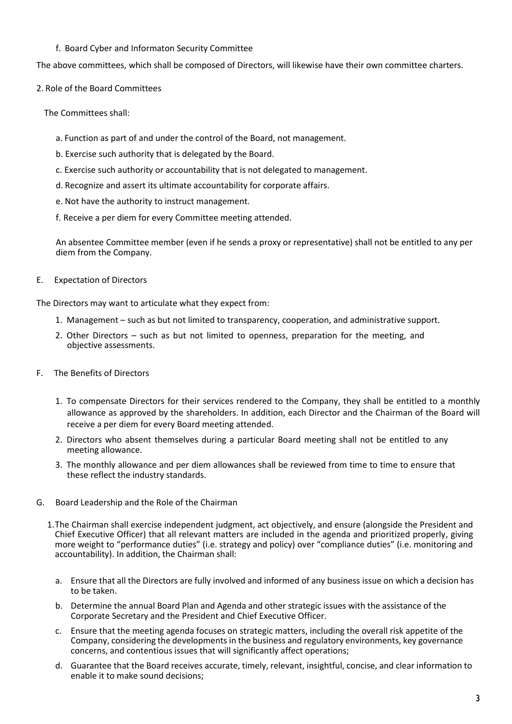# f. Board Cyber and Informaton Security Committee

The above committees, which shall be composed of Directors, will likewise have their own committee charters.

2. Role of the Board Committees

The Committees shall:

- a. Function as part of and under the control of the Board, not management.
- b. Exercise such authority that is delegated by the Board.
- c. Exercise such authority or accountability that is not delegated to management.
- d. Recognize and assert its ultimate accountability for corporate affairs.
- e. Not have the authority to instruct management.
- f. Receive a per diem for every Committee meeting attended.

An absentee Committee member (even if he sends a proxy or representative) shall not be entitled to any per diem from the Company.

E. Expectation of Directors

The Directors may want to articulate what they expect from:

- 1. Management such as but not limited to transparency, cooperation, and administrative support.
- 2. Other Directors such as but not limited to openness, preparation for the meeting, and objective assessments.
- F. The Benefits of Directors
	- 1. To compensate Directors for their services rendered to the Company, they shall be entitled to a monthly allowance as approved by the shareholders. In addition, each Director and the Chairman of the Board will receive a per diem for every Board meeting attended.
	- 2. Directors who absent themselves during a particular Board meeting shall not be entitled to any meeting allowance.
	- 3. The monthly allowance and per diem allowances shall be reviewed from time to time to ensure that these reflect the industry standards.
- G. Board Leadership and the Role of the Chairman
	- 1.The Chairman shall exercise independent judgment, act objectively, and ensure (alongside the President and Chief Executive Officer) that all relevant matters are included in the agenda and prioritized properly, giving more weight to "performance duties" (i.e. strategy and policy) over "compliance duties" (i.e. monitoring and accountability). In addition, the Chairman shall:
		- a. Ensure that all the Directors are fully involved and informed of any business issue on which a decision has to be taken.
		- b. Determine the annual Board Plan and Agenda and other strategic issues with the assistance of the Corporate Secretary and the President and Chief Executive Officer.
		- c. Ensure that the meeting agenda focuses on strategic matters, including the overall risk appetite of the Company, considering the developments in the business and regulatory environments, key governance concerns, and contentious issues that will significantly affect operations;
		- d. Guarantee that the Board receives accurate, timely, relevant, insightful, concise, and clear information to enable it to make sound decisions;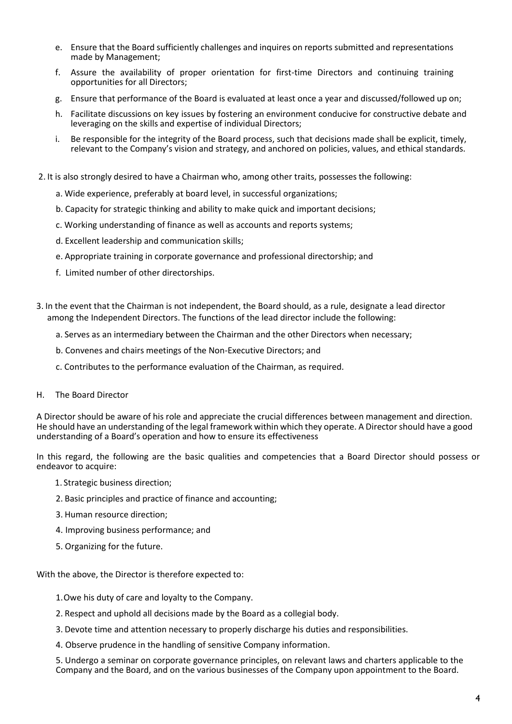- e. Ensure that the Board sufficiently challenges and inquires on reports submitted and representations made by Management;
- f. Assure the availability of proper orientation for first-time Directors and continuing training opportunities for all Directors;
- g. Ensure that performance of the Board is evaluated at least once a year and discussed/followed up on;
- h. Facilitate discussions on key issues by fostering an environment conducive for constructive debate and leveraging on the skills and expertise of individual Directors;
- i. Be responsible for the integrity of the Board process, such that decisions made shall be explicit, timely, relevant to the Company's vision and strategy, and anchored on policies, values, and ethical standards.
- 2. It is also strongly desired to have a Chairman who, among other traits, possesses the following:
	- a. Wide experience, preferably at board level, in successful organizations;
	- b. Capacity for strategic thinking and ability to make quick and important decisions;
	- c. Working understanding of finance as well as accounts and reports systems;
	- d. Excellent leadership and communication skills;
	- e. Appropriate training in corporate governance and professional directorship; and
	- f. Limited number of other directorships.
- 3. In the event that the Chairman is not independent, the Board should, as a rule, designate a lead director among the Independent Directors. The functions of the lead director include the following:
	- a. Serves as an intermediary between the Chairman and the other Directors when necessary;
	- b. Convenes and chairs meetings of the Non-Executive Directors; and
	- c. Contributes to the performance evaluation of the Chairman, as required.
- H. The Board Director

A Director should be aware of his role and appreciate the crucial differences between management and direction. He should have an understanding of the legal framework within which they operate. A Director should have a good understanding of a Board's operation and how to ensure its effectiveness

In this regard, the following are the basic qualities and competencies that a Board Director should possess or endeavor to acquire:

- 1. Strategic business direction;
- 2. Basic principles and practice of finance and accounting;
- 3. Human resource direction;
- 4. Improving business performance; and
- 5. Organizing for the future.

With the above, the Director is therefore expected to:

- 1.Owe his duty of care and loyalty to the Company.
- 2. Respect and uphold all decisions made by the Board as a collegial body.
- 3. Devote time and attention necessary to properly discharge his duties and responsibilities.
- 4. Observe prudence in the handling of sensitive Company information.

5. Undergo a seminar on corporate governance principles, on relevant laws and charters applicable to the Company and the Board, and on the various businesses of the Company upon appointment to the Board.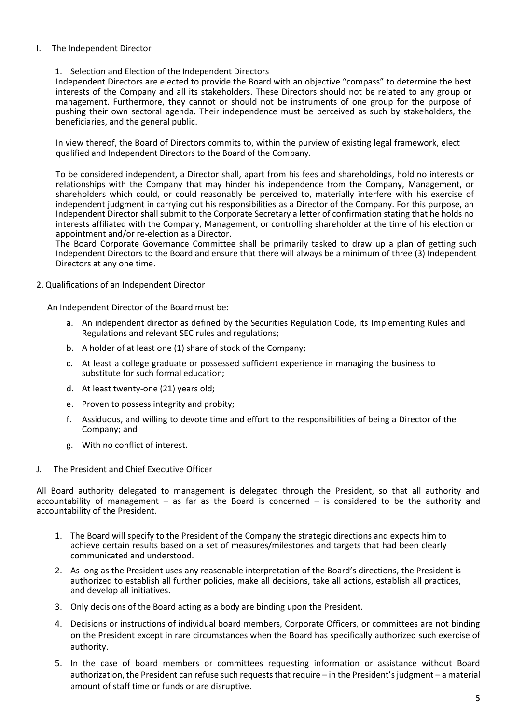## I. The Independent Director

## 1. Selection and Election of the Independent Directors

Independent Directors are elected to provide the Board with an objective "compass" to determine the best interests of the Company and all its stakeholders. These Directors should not be related to any group or management. Furthermore, they cannot or should not be instruments of one group for the purpose of pushing their own sectoral agenda. Their independence must be perceived as such by stakeholders, the beneficiaries, and the general public.

In view thereof, the Board of Directors commits to, within the purview of existing legal framework, elect qualified and Independent Directors to the Board of the Company.

To be considered independent, a Director shall, apart from his fees and shareholdings, hold no interests or relationships with the Company that may hinder his independence from the Company, Management, or shareholders which could, or could reasonably be perceived to, materially interfere with his exercise of independent judgment in carrying out his responsibilities as a Director of the Company. For this purpose, an Independent Director shall submit to the Corporate Secretary a letter of confirmation stating that he holds no interests affiliated with the Company, Management, or controlling shareholder at the time of his election or appointment and/or re-election as a Director.

The Board Corporate Governance Committee shall be primarily tasked to draw up a plan of getting such Independent Directors to the Board and ensure that there will always be a minimum of three (3) Independent Directors at any one time.

2. Qualifications of an Independent Director

An Independent Director of the Board must be:

- a. An independent director as defined by the Securities Regulation Code, its Implementing Rules and Regulations and relevant SEC rules and regulations;
- b. A holder of at least one (1) share of stock of the Company;
- c. At least a college graduate or possessed sufficient experience in managing the business to substitute for such formal education;
- d. At least twenty-one (21) years old;
- e. Proven to possess integrity and probity;
- f. Assiduous, and willing to devote time and effort to the responsibilities of being a Director of the Company; and
- g. With no conflict of interest.
- J. The President and Chief Executive Officer

All Board authority delegated to management is delegated through the President, so that all authority and accountability of management – as far as the Board is concerned – is considered to be the authority and accountability of the President.

- 1. The Board will specify to the President of the Company the strategic directions and expects him to achieve certain results based on a set of measures/milestones and targets that had been clearly communicated and understood.
- 2. As long as the President uses any reasonable interpretation of the Board's directions, the President is authorized to establish all further policies, make all decisions, take all actions, establish all practices, and develop all initiatives.
- 3. Only decisions of the Board acting as a body are binding upon the President.
- 4. Decisions or instructions of individual board members, Corporate Officers, or committees are not binding on the President except in rare circumstances when the Board has specifically authorized such exercise of authority.
- 5. In the case of board members or committees requesting information or assistance without Board authorization, the President can refuse such requests that require – in the President's judgment – a material amount of staff time or funds or are disruptive.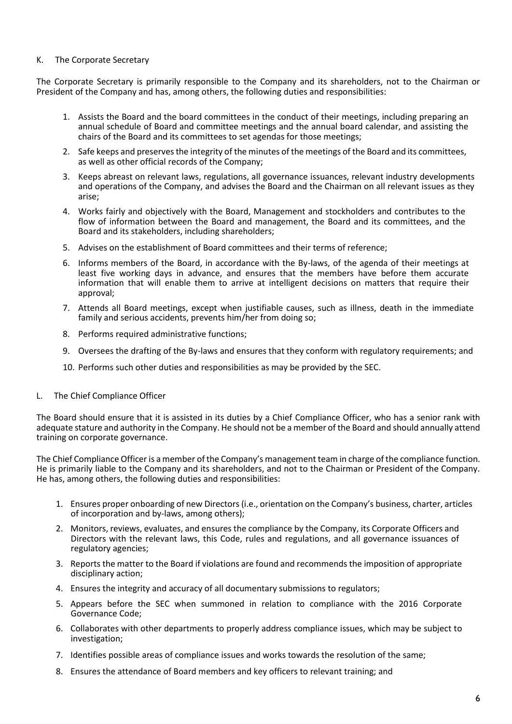#### K. The Corporate Secretary

The Corporate Secretary is primarily responsible to the Company and its shareholders, not to the Chairman or President of the Company and has, among others, the following duties and responsibilities:

- 1. Assists the Board and the board committees in the conduct of their meetings, including preparing an annual schedule of Board and committee meetings and the annual board calendar, and assisting the chairs of the Board and its committees to set agendas for those meetings;
- 2. Safe keeps and preserves the integrity of the minutes of the meetings of the Board and its committees, as well as other official records of the Company;
- 3. Keeps abreast on relevant laws, regulations, all governance issuances, relevant industry developments and operations of the Company, and advises the Board and the Chairman on all relevant issues as they arise;
- 4. Works fairly and objectively with the Board, Management and stockholders and contributes to the flow of information between the Board and management, the Board and its committees, and the Board and its stakeholders, including shareholders;
- 5. Advises on the establishment of Board committees and their terms of reference;
- 6. Informs members of the Board, in accordance with the By-laws, of the agenda of their meetings at least five working days in advance, and ensures that the members have before them accurate information that will enable them to arrive at intelligent decisions on matters that require their approval;
- 7. Attends all Board meetings, except when justifiable causes, such as illness, death in the immediate family and serious accidents, prevents him/her from doing so;
- 8. Performs required administrative functions;
- 9. Oversees the drafting of the By-laws and ensures that they conform with regulatory requirements; and
- 10. Performs such other duties and responsibilities as may be provided by the SEC.
- L. The Chief Compliance Officer

The Board should ensure that it is assisted in its duties by a Chief Compliance Officer, who has a senior rank with adequate stature and authority in the Company. He should not be a member of the Board and should annually attend training on corporate governance.

The Chief Compliance Officer is a member of the Company's management team in charge of the compliance function. He is primarily liable to the Company and its shareholders, and not to the Chairman or President of the Company. He has, among others, the following duties and responsibilities:

- 1. Ensures proper onboarding of new Directors (i.e., orientation on the Company's business, charter, articles of incorporation and by-laws, among others);
- 2. Monitors, reviews, evaluates, and ensures the compliance by the Company, its Corporate Officers and Directors with the relevant laws, this Code, rules and regulations, and all governance issuances of regulatory agencies;
- 3. Reports the matter to the Board if violations are found and recommends the imposition of appropriate disciplinary action;
- 4. Ensures the integrity and accuracy of all documentary submissions to regulators;
- 5. Appears before the SEC when summoned in relation to compliance with the 2016 Corporate Governance Code;
- 6. Collaborates with other departments to properly address compliance issues, which may be subject to investigation;
- 7. Identifies possible areas of compliance issues and works towards the resolution of the same;
- 8. Ensures the attendance of Board members and key officers to relevant training; and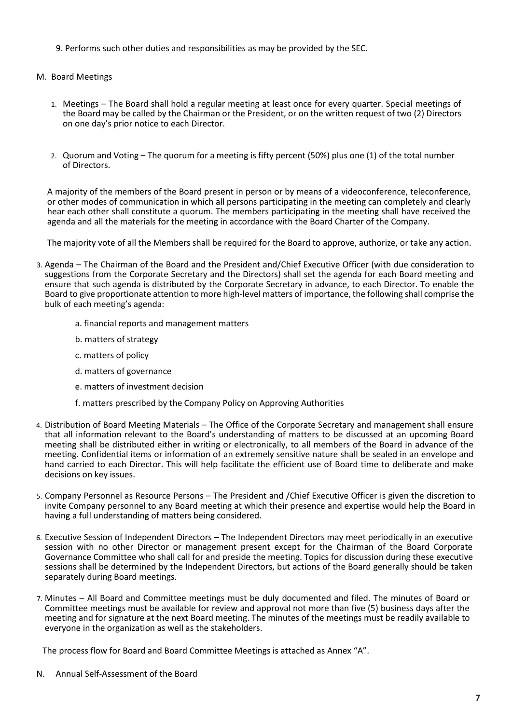- 9. Performs such other duties and responsibilities as may be provided by the SEC.
- M. Board Meetings
	- 1. Meetings The Board shall hold a regular meeting at least once for every quarter. Special meetings of the Board may be called by the Chairman or the President, or on the written request of two (2) Directors on one day's prior notice to each Director.
	- 2. Quorum and Voting The quorum for a meeting is fifty percent (50%) plus one (1) of the total number of Directors.

A majority of the members of the Board present in person or by means of a videoconference, teleconference, or other modes of communication in which all persons participating in the meeting can completely and clearly hear each other shall constitute a quorum. The members participating in the meeting shall have received the agenda and all the materials for the meeting in accordance with the Board Charter of the Company.

The majority vote of all the Members shall be required for the Board to approve, authorize, or take any action.

- 3. Agenda The Chairman of the Board and the President and/Chief Executive Officer (with due consideration to suggestions from the Corporate Secretary and the Directors) shall set the agenda for each Board meeting and ensure that such agenda is distributed by the Corporate Secretary in advance, to each Director. To enable the Board to give proportionate attention to more high-level matters of importance, the following shall comprise the bulk of each meeting's agenda:
	- a. financial reports and management matters
	- b. matters of strategy
	- c. matters of policy
	- d. matters of governance
	- e. matters of investment decision
	- f. matters prescribed by the Company Policy on Approving Authorities
- 4. Distribution of Board Meeting Materials The Office of the Corporate Secretary and management shall ensure that all information relevant to the Board's understanding of matters to be discussed at an upcoming Board meeting shall be distributed either in writing or electronically, to all members of the Board in advance of the meeting. Confidential items or information of an extremely sensitive nature shall be sealed in an envelope and hand carried to each Director. This will help facilitate the efficient use of Board time to deliberate and make decisions on key issues.
- 5. Company Personnel as Resource Persons The President and /Chief Executive Officer is given the discretion to invite Company personnel to any Board meeting at which their presence and expertise would help the Board in having a full understanding of matters being considered.
- 6. Executive Session of Independent Directors The Independent Directors may meet periodically in an executive session with no other Director or management present except for the Chairman of the Board Corporate Governance Committee who shall call for and preside the meeting. Topics for discussion during these executive sessions shall be determined by the Independent Directors, but actions of the Board generally should be taken separately during Board meetings.
- 7. Minutes All Board and Committee meetings must be duly documented and filed. The minutes of Board or Committee meetings must be available for review and approval not more than five (5) business days after the meeting and for signature at the next Board meeting. The minutes of the meetings must be readily available to everyone in the organization as well as the stakeholders.

The process flow for Board and Board Committee Meetings is attached as Annex "A".

N. Annual Self-Assessment of the Board